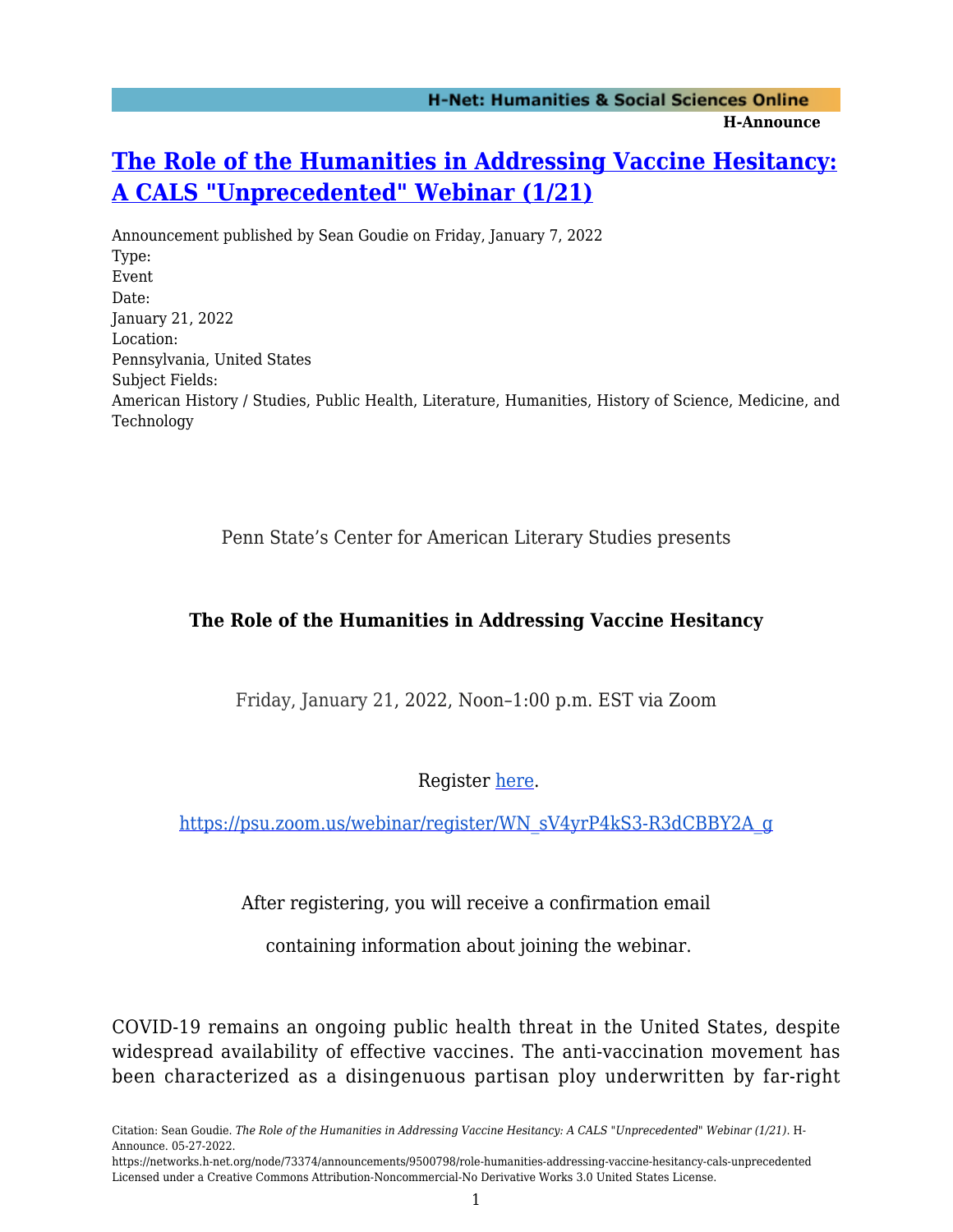# **[The Role of the Humanities in Addressing Vaccine Hesitancy:](https://networks.h-net.org/node/73374/announcements/9500798/role-humanities-addressing-vaccine-hesitancy-cals-unprecedented) [A CALS "Unprecedented" Webinar \(1/21\)](https://networks.h-net.org/node/73374/announcements/9500798/role-humanities-addressing-vaccine-hesitancy-cals-unprecedented)**

Announcement published by Sean Goudie on Friday, January 7, 2022 Type: Event Date: January 21, 2022 Location: Pennsylvania, United States Subject Fields: American History / Studies, Public Health, Literature, Humanities, History of Science, Medicine, and Technology

Penn State's Center for American Literary Studies presents

#### **The Role of the Humanities in Addressing Vaccine Hesitancy**

Friday, January 21, 2022, Noon–1:00 p.m. EST via Zoom

Register [here](https://psu.zoom.us/webinar/register/WN_sV4yrP4kS3-R3dCBBY2A_g).

[https://psu.zoom.us/webinar/register/WN\\_sV4yrP4kS3-R3dCBBY2A\\_g](https://psu.zoom.us/webinar/register/WN_sV4yrP4kS3-R3dCBBY2A_g)

After registering, you will receive a confirmation email

containing information about joining the webinar.

COVID-19 remains an ongoing public health threat in the United States, despite widespread availability of effective vaccines. The anti-vaccination movement has been characterized as a disingenuous partisan ploy underwritten by far-right

https://networks.h-net.org/node/73374/announcements/9500798/role-humanities-addressing-vaccine-hesitancy-cals-unprecedented Licensed under a Creative Commons Attribution-Noncommercial-No Derivative Works 3.0 United States License.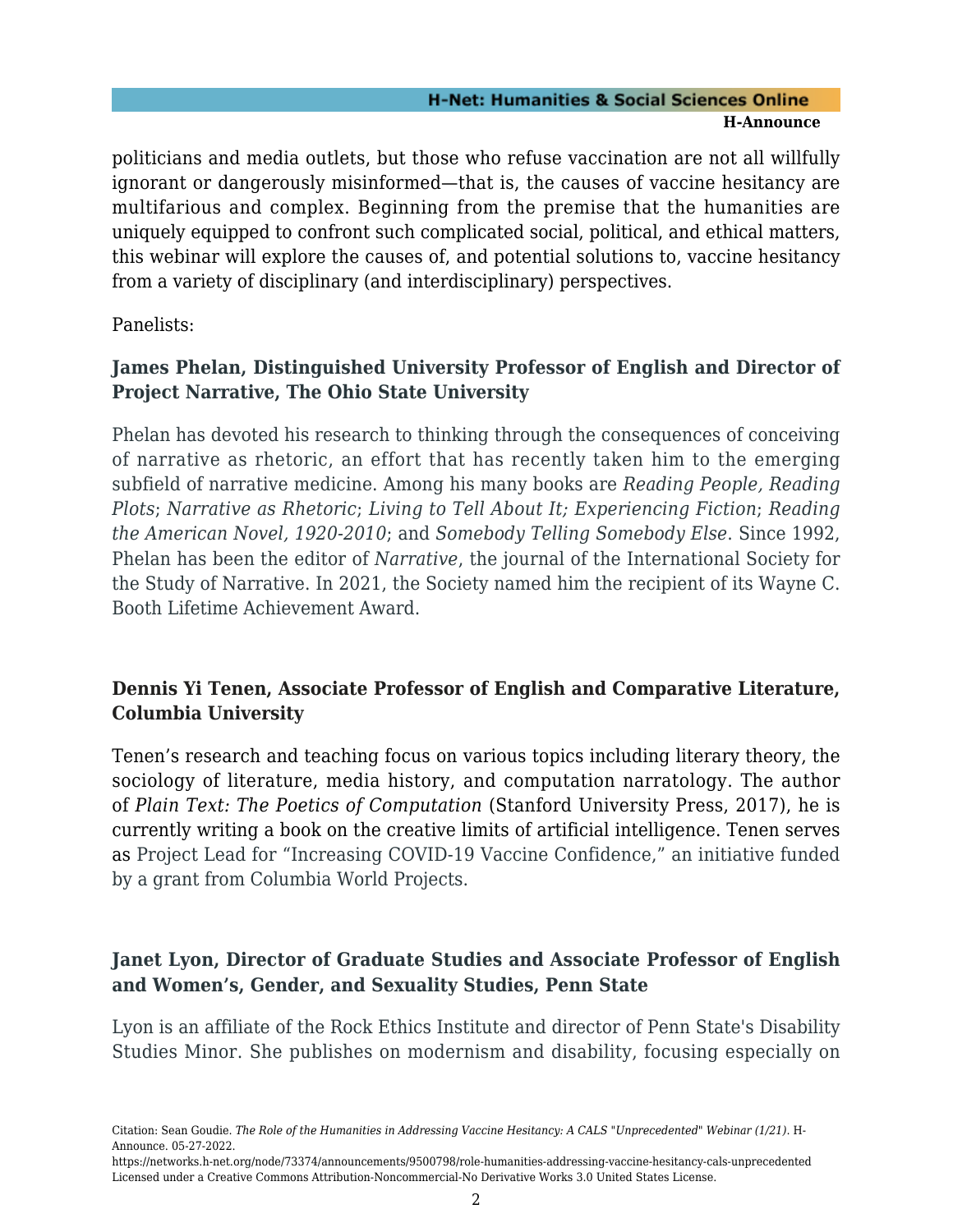#### **H-Net: Humanities & Social Sciences Online H-Announce**

politicians and media outlets, but those who refuse vaccination are not all willfully ignorant or dangerously misinformed—that is, the causes of vaccine hesitancy are multifarious and complex. Beginning from the premise that the humanities are uniquely equipped to confront such complicated social, political, and ethical matters, this webinar will explore the causes of, and potential solutions to, vaccine hesitancy from a variety of disciplinary (and interdisciplinary) perspectives.

Panelists:

## **James Phelan, Distinguished University Professor of English and Director of Project Narrative, The Ohio State University**

Phelan has devoted his research to thinking through the consequences of conceiving of narrative as rhetoric, an effort that has recently taken him to the emerging subfield of narrative medicine. Among his many books are *Reading People, Reading Plots*; *Narrative as Rhetoric*; *Living to Tell About It; Experiencing Fiction*; *Reading the American Novel, 1920-2010*; and *Somebody Telling Somebody Else*. Since 1992, Phelan has been the editor of *Narrative*, the journal of the International Society for the Study of Narrative. In 2021, the Society named him the recipient of its Wayne C. Booth Lifetime Achievement Award.

## **Dennis Yi Tenen, Associate Professor of English and Comparative Literature, Columbia University**

Tenen's research and teaching focus on various topics including literary theory, the sociology of literature, media history, and computation narratology. The author of *Plain Text: The Poetics of Computation* (Stanford University Press, 2017), he is currently writing a book on the creative limits of artificial intelligence. Tenen serves as Project Lead for "Increasing COVID-19 Vaccine Confidence," an initiative funded by a grant from Columbia World Projects.

#### **Janet Lyon, Director of Graduate Studies and Associate Professor of English and Women's, Gender, and Sexuality Studies, Penn State**

Lyon is an affiliate of the Rock Ethics Institute and director of Penn State's Disability Studies Minor. She publishes on modernism and disability, focusing especially on

Citation: Sean Goudie. *The Role of the Humanities in Addressing Vaccine Hesitancy: A CALS "Unprecedented" Webinar (1/21)*. H-Announce. 05-27-2022.